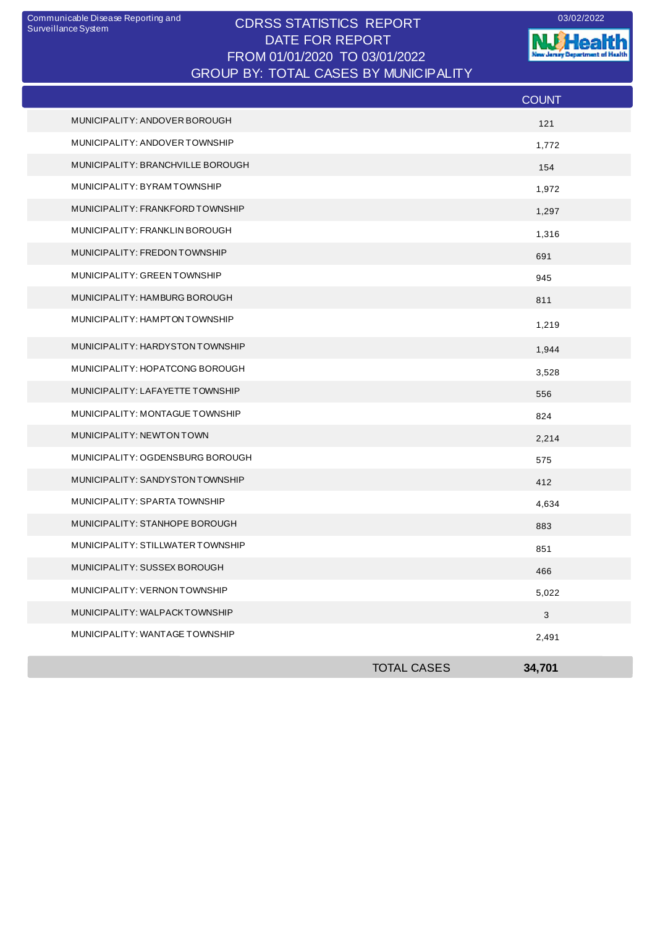## CDRSS STATISTICS REPORT Communicable Disease Reporting and 03/02/2022 DATE FOR REPORT FROM 01/01/2020 TO 03/01/2022 GROUP BY: TOTAL CASES BY MUNICIPALITY

**W.Health** nt of Health ò. -6

|                                   |                    | <b>COUNT</b> |
|-----------------------------------|--------------------|--------------|
| MUNICIPALITY: ANDOVER BOROUGH     |                    | 121          |
| MUNICIPALITY: ANDOVER TOWNSHIP    |                    | 1,772        |
| MUNICIPALITY: BRANCHVILLE BOROUGH |                    | 154          |
| MUNICIPALITY: BYRAMTOWNSHIP       |                    | 1,972        |
| MUNICIPALITY: FRANKFORD TOWNSHIP  |                    | 1,297        |
| MUNICIPALITY: FRANKLIN BOROUGH    |                    | 1,316        |
| MUNICIPALITY: FREDON TOWNSHIP     |                    | 691          |
| MUNICIPALITY: GREEN TOWNSHIP      |                    | 945          |
| MUNICIPALITY: HAMBURG BOROUGH     |                    | 811          |
| MUNICIPALITY: HAMPTON TOWNSHIP    |                    | 1,219        |
| MUNICIPALITY: HARDYSTON TOWNSHIP  |                    | 1,944        |
| MUNICIPALITY: HOPATCONG BOROUGH   |                    | 3,528        |
| MUNICIPALITY: LAFAYETTE TOWNSHIP  |                    | 556          |
| MUNICIPALITY: MONTAGUE TOWNSHIP   |                    | 824          |
| MUNICIPALITY: NEWTON TOWN         |                    | 2,214        |
| MUNICIPALITY: OGDENSBURG BOROUGH  |                    | 575          |
| MUNICIPALITY: SANDYSTON TOWNSHIP  |                    | 412          |
| MUNICIPALITY: SPARTA TOWNSHIP     |                    | 4,634        |
| MUNICIPALITY: STANHOPE BOROUGH    |                    | 883          |
| MUNICIPALITY: STILLWATER TOWNSHIP |                    | 851          |
| MUNICIPALITY: SUSSEX BOROUGH      |                    | 466          |
| MUNICIPALITY: VERNON TOWNSHIP     |                    | 5,022        |
| MUNICIPALITY: WALPACKTOWNSHIP     |                    | $\mathbf{3}$ |
| MUNICIPALITY: WANTAGE TOWNSHIP    |                    | 2,491        |
|                                   | <b>TOTAL CASES</b> | 34,701       |